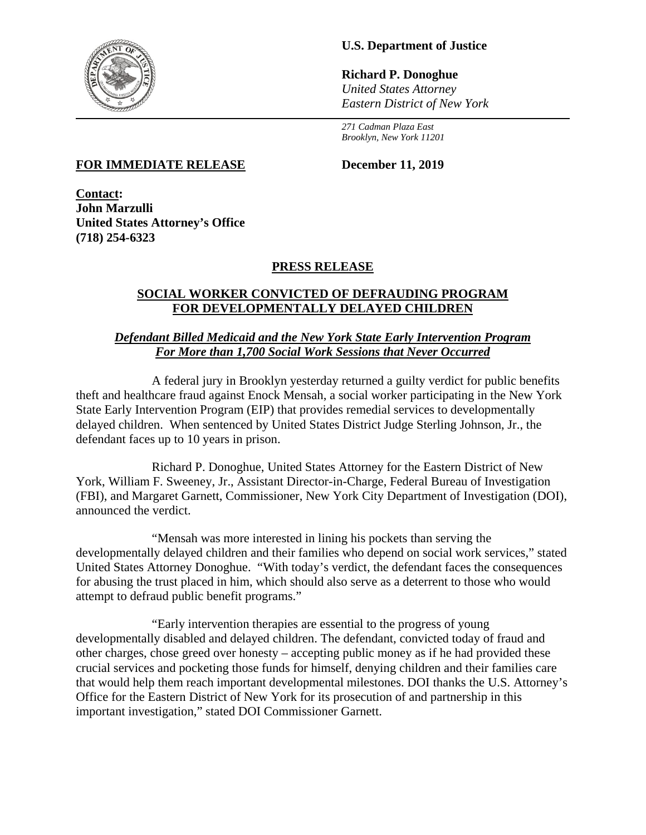

# **U.S. Department of Justice**

**Richard P. Donoghue** *United States Attorney Eastern District of New York*

*271 Cadman Plaza East Brooklyn, New York 11201*

### **FOR IMMEDIATE RELEASE December 11, 2019**

**Contact: John Marzulli United States Attorney's Office (718) 254-6323**

## **PRESS RELEASE**

## **SOCIAL WORKER CONVICTED OF DEFRAUDING PROGRAM FOR DEVELOPMENTALLY DELAYED CHILDREN**

#### *Defendant Billed Medicaid and the New York State Early Intervention Program For More than 1,700 Social Work Sessions that Never Occurred*

A federal jury in Brooklyn yesterday returned a guilty verdict for public benefits theft and healthcare fraud against Enock Mensah, a social worker participating in the New York State Early Intervention Program (EIP) that provides remedial services to developmentally delayed children. When sentenced by United States District Judge Sterling Johnson, Jr., the defendant faces up to 10 years in prison.

Richard P. Donoghue, United States Attorney for the Eastern District of New York, William F. Sweeney, Jr., Assistant Director-in-Charge, Federal Bureau of Investigation (FBI), and Margaret Garnett, Commissioner, New York City Department of Investigation (DOI), announced the verdict.

"Mensah was more interested in lining his pockets than serving the developmentally delayed children and their families who depend on social work services," stated United States Attorney Donoghue. "With today's verdict, the defendant faces the consequences for abusing the trust placed in him, which should also serve as a deterrent to those who would attempt to defraud public benefit programs."

"Early intervention therapies are essential to the progress of young developmentally disabled and delayed children. The defendant, convicted today of fraud and other charges, chose greed over honesty – accepting public money as if he had provided these crucial services and pocketing those funds for himself, denying children and their families care that would help them reach important developmental milestones. DOI thanks the U.S. Attorney's Office for the Eastern District of New York for its prosecution of and partnership in this important investigation," stated DOI Commissioner Garnett.